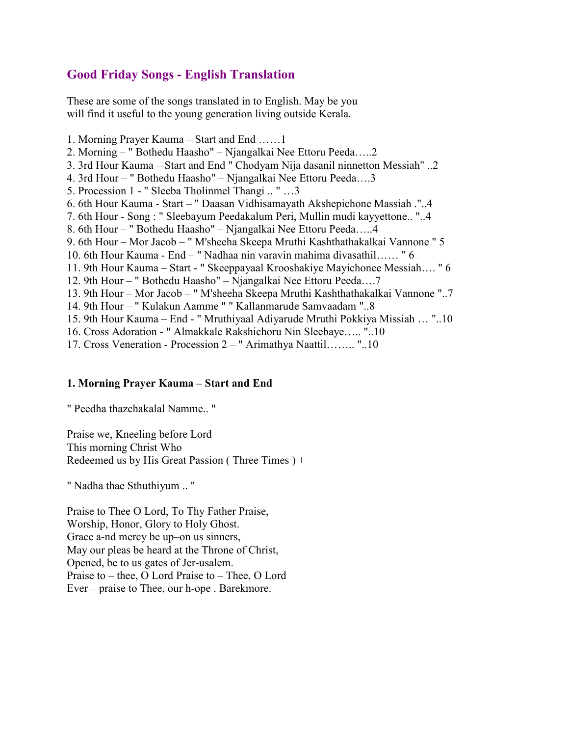# **Good Friday Songs - English Translation**

These are some of the songs translated in to English. May be you will find it useful to the young generation living outside Kerala.

1. Morning Prayer Kauma – Start and End ……1 2. Morning – " Bothedu Haasho" – Njangalkai Nee Ettoru Peeda…..2 3. 3rd Hour Kauma – Start and End " Chodyam Nija dasanil ninnetton Messiah" ..2 4. 3rd Hour – " Bothedu Haasho" – Njangalkai Nee Ettoru Peeda….3 5. Procession 1 - " Sleeba Tholinmel Thangi .. " …3 6. 6th Hour Kauma - Start – " Daasan Vidhisamayath Akshepichone Massiah ."..4 7. 6th Hour - Song : " Sleebayum Peedakalum Peri, Mullin mudi kayyettone.. "..4 8. 6th Hour – " Bothedu Haasho" – Njangalkai Nee Ettoru Peeda…..4 9. 6th Hour – Mor Jacob – " M'sheeha Skeepa Mruthi Kashthathakalkai Vannone " 5 10. 6th Hour Kauma - End – " Nadhaa nin varavin mahima divasathil…… " 6 11. 9th Hour Kauma – Start - " Skeeppayaal Krooshakiye Mayichonee Messiah…. " 6 12. 9th Hour – " Bothedu Haasho" – Njangalkai Nee Ettoru Peeda….7 13. 9th Hour – Mor Jacob – " M'sheeha Skeepa Mruthi Kashthathakalkai Vannone "..7 14. 9th Hour – " Kulakun Aamme " " Kallanmarude Samvaadam "..8 15. 9th Hour Kauma – End - " Mruthiyaal Adiyarude Mruthi Pokkiya Missiah … "..10 16. Cross Adoration - " Almakkale Rakshichoru Nin Sleebaye….. "..10 17. Cross Veneration - Procession 2 – " Arimathya Naattil…….. "..10

## **1. Morning Prayer Kauma – Start and End**

" Peedha thazchakalal Namme.. "

Praise we, Kneeling before Lord This morning Christ Who Redeemed us by His Great Passion ( Three Times ) +

" Nadha thae Sthuthiyum .. "

Praise to Thee O Lord, To Thy Father Praise, Worship, Honor, Glory to Holy Ghost. Grace a-nd mercy be up–on us sinners, May our pleas be heard at the Throne of Christ, Opened, be to us gates of Jer-usalem. Praise to – thee, O Lord Praise to – Thee, O Lord Ever – praise to Thee, our h-ope . Barekmore.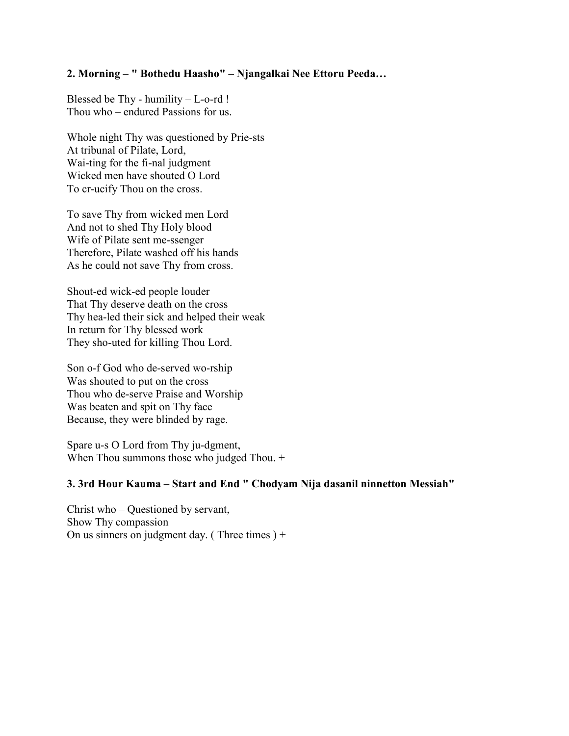## **2. Morning – " Bothedu Haasho" – Njangalkai Nee Ettoru Peeda…**

Blessed be Thy - humility  $-L$ -o-rd ! Thou who – endured Passions for us.

Whole night Thy was questioned by Prie-sts At tribunal of Pilate, Lord, Wai-ting for the fi-nal judgment Wicked men have shouted O Lord To cr-ucify Thou on the cross.

To save Thy from wicked men Lord And not to shed Thy Holy blood Wife of Pilate sent me-ssenger Therefore, Pilate washed off his hands As he could not save Thy from cross.

Shout-ed wick-ed people louder That Thy deserve death on the cross Thy hea-led their sick and helped their weak In return for Thy blessed work They sho-uted for killing Thou Lord.

Son o-f God who de-served wo-rship Was shouted to put on the cross Thou who de-serve Praise and Worship Was beaten and spit on Thy face Because, they were blinded by rage.

Spare u-s O Lord from Thy ju-dgment, When Thou summons those who judged Thou. +

## **3. 3rd Hour Kauma – Start and End " Chodyam Nija dasanil ninnetton Messiah"**

Christ who – Questioned by servant, Show Thy compassion On us sinners on judgment day. (Three times  $)+$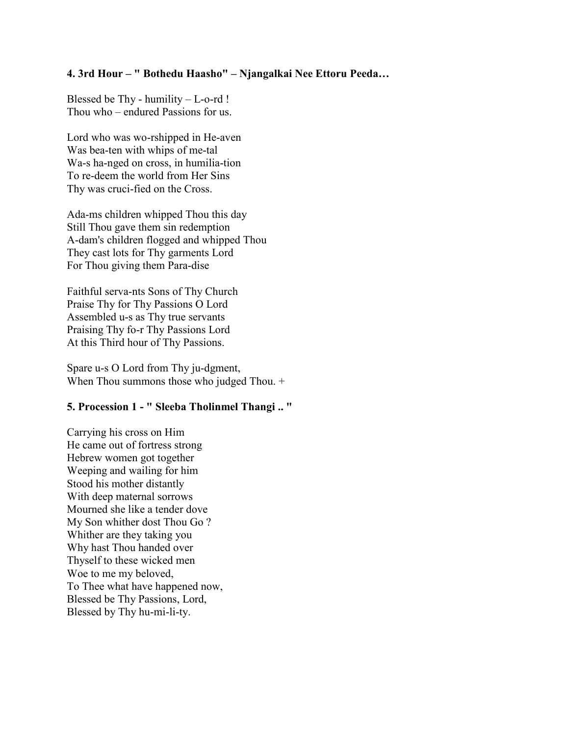## **4. 3rd Hour – " Bothedu Haasho" – Njangalkai Nee Ettoru Peeda…**

Blessed be Thy - humility  $-L$ -o-rd ! Thou who – endured Passions for us.

Lord who was wo-rshipped in He-aven Was bea-ten with whips of me-tal Wa-s ha-nged on cross, in humilia-tion To re-deem the world from Her Sins Thy was cruci-fied on the Cross.

Ada-ms children whipped Thou this day Still Thou gave them sin redemption A-dam's children flogged and whipped Thou They cast lots for Thy garments Lord For Thou giving them Para-dise

Faithful serva-nts Sons of Thy Church Praise Thy for Thy Passions O Lord Assembled u-s as Thy true servants Praising Thy fo-r Thy Passions Lord At this Third hour of Thy Passions.

Spare u-s O Lord from Thy ju-dgment, When Thou summons those who judged Thou. +

# **5. Procession 1 - " Sleeba Tholinmel Thangi .. "**

Carrying his cross on Him He came out of fortress strong Hebrew women got together Weeping and wailing for him Stood his mother distantly With deep maternal sorrows Mourned she like a tender dove My Son whither dost Thou Go ? Whither are they taking you Why hast Thou handed over Thyself to these wicked men Woe to me my beloved, To Thee what have happened now, Blessed be Thy Passions, Lord, Blessed by Thy hu-mi-li-ty.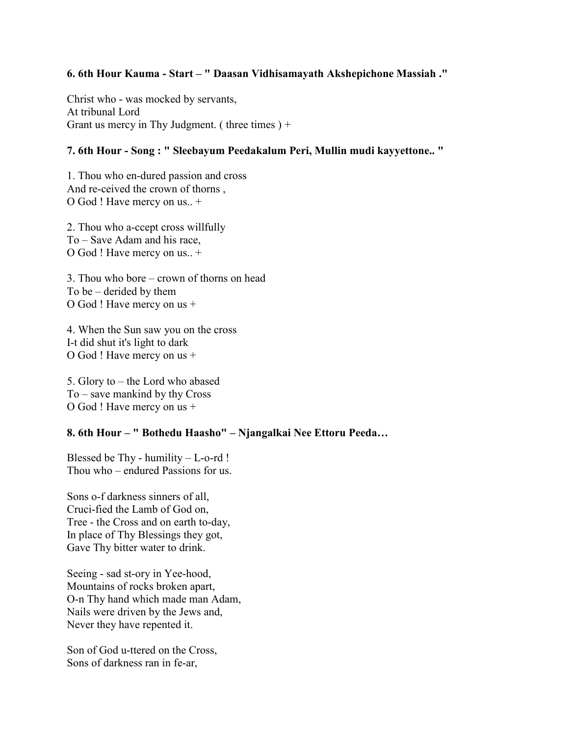## **6. 6th Hour Kauma - Start – " Daasan Vidhisamayath Akshepichone Massiah ."**

Christ who - was mocked by servants, At tribunal Lord Grant us mercy in Thy Judgment. (three times  $+$ 

## **7. 6th Hour - Song : " Sleebayum Peedakalum Peri, Mullin mudi kayyettone.. "**

1. Thou who en-dured passion and cross And re-ceived the crown of thorns , O God ! Have mercy on us.. +

2. Thou who a-ccept cross willfully To – Save Adam and his race, O God ! Have mercy on us.. +

3. Thou who bore – crown of thorns on head To be – derided by them O God ! Have mercy on us +

4. When the Sun saw you on the cross I-t did shut it's light to dark O God ! Have mercy on us +

5. Glory to – the Lord who abased To – save mankind by thy Cross O God ! Have mercy on us +

## **8. 6th Hour – " Bothedu Haasho" – Njangalkai Nee Ettoru Peeda…**

Blessed be Thy - humility  $-L$ -o-rd ! Thou who – endured Passions for us.

Sons o-f darkness sinners of all, Cruci-fied the Lamb of God on, Tree - the Cross and on earth to-day, In place of Thy Blessings they got, Gave Thy bitter water to drink.

Seeing - sad st-ory in Yee-hood, Mountains of rocks broken apart, O-n Thy hand which made man Adam, Nails were driven by the Jews and, Never they have repented it.

Son of God u-ttered on the Cross, Sons of darkness ran in fe-ar,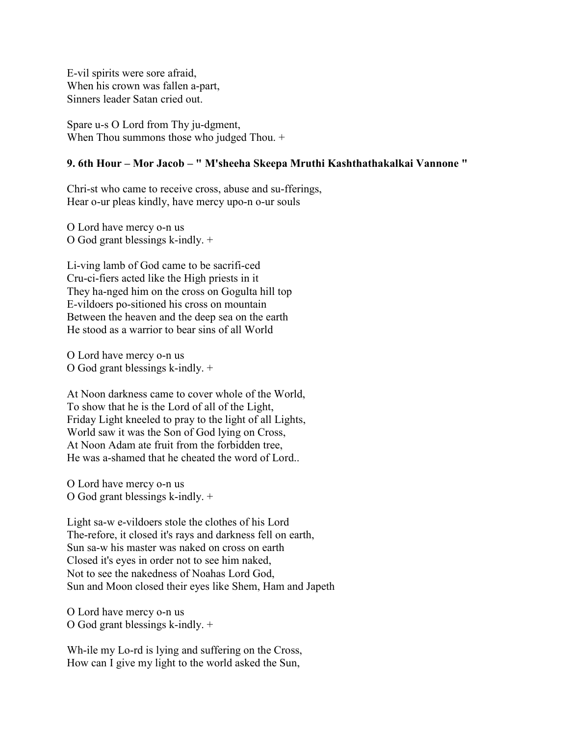E-vil spirits were sore afraid, When his crown was fallen a-part, Sinners leader Satan cried out.

Spare u-s O Lord from Thy ju-dgment, When Thou summons those who judged Thou. +

#### **9. 6th Hour – Mor Jacob – " M'sheeha Skeepa Mruthi Kashthathakalkai Vannone "**

Chri-st who came to receive cross, abuse and su-fferings, Hear o-ur pleas kindly, have mercy upo-n o-ur souls

O Lord have mercy o-n us O God grant blessings k-indly. +

Li-ving lamb of God came to be sacrifi-ced Cru-ci-fiers acted like the High priests in it They ha-nged him on the cross on Gogulta hill top E-vildoers po-sitioned his cross on mountain Between the heaven and the deep sea on the earth He stood as a warrior to bear sins of all World

O Lord have mercy o-n us O God grant blessings k-indly. +

At Noon darkness came to cover whole of the World, To show that he is the Lord of all of the Light, Friday Light kneeled to pray to the light of all Lights, World saw it was the Son of God lying on Cross, At Noon Adam ate fruit from the forbidden tree, He was a-shamed that he cheated the word of Lord..

O Lord have mercy o-n us O God grant blessings k-indly. +

Light sa-w e-vildoers stole the clothes of his Lord The-refore, it closed it's rays and darkness fell on earth, Sun sa-w his master was naked on cross on earth Closed it's eyes in order not to see him naked, Not to see the nakedness of Noahas Lord God, Sun and Moon closed their eyes like Shem, Ham and Japeth

O Lord have mercy o-n us O God grant blessings k-indly. +

Wh-ile my Lo-rd is lying and suffering on the Cross, How can I give my light to the world asked the Sun,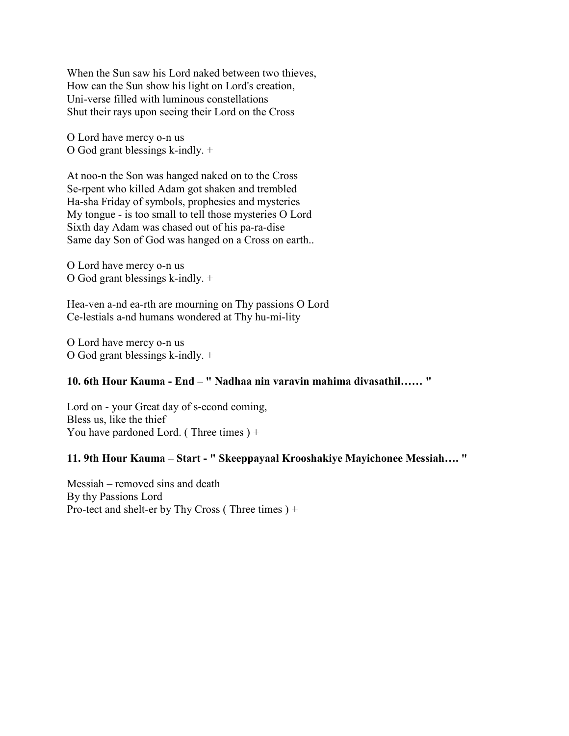When the Sun saw his Lord naked between two thieves, How can the Sun show his light on Lord's creation, Uni-verse filled with luminous constellations Shut their rays upon seeing their Lord on the Cross

O Lord have mercy o-n us O God grant blessings k-indly. +

At noo-n the Son was hanged naked on to the Cross Se-rpent who killed Adam got shaken and trembled Ha-sha Friday of symbols, prophesies and mysteries My tongue - is too small to tell those mysteries O Lord Sixth day Adam was chased out of his pa-ra-dise Same day Son of God was hanged on a Cross on earth..

O Lord have mercy o-n us O God grant blessings k-indly. +

Hea-ven a-nd ea-rth are mourning on Thy passions O Lord Ce-lestials a-nd humans wondered at Thy hu-mi-lity

O Lord have mercy o-n us O God grant blessings k-indly. +

# **10. 6th Hour Kauma - End – " Nadhaa nin varavin mahima divasathil…… "**

Lord on - your Great day of s-econd coming, Bless us, like the thief You have pardoned Lord. (Three times ) +

#### **11. 9th Hour Kauma – Start - " Skeeppayaal Krooshakiye Mayichonee Messiah…. "**

Messiah – removed sins and death By thy Passions Lord Pro-tect and shelt-er by Thy Cross ( Three times ) +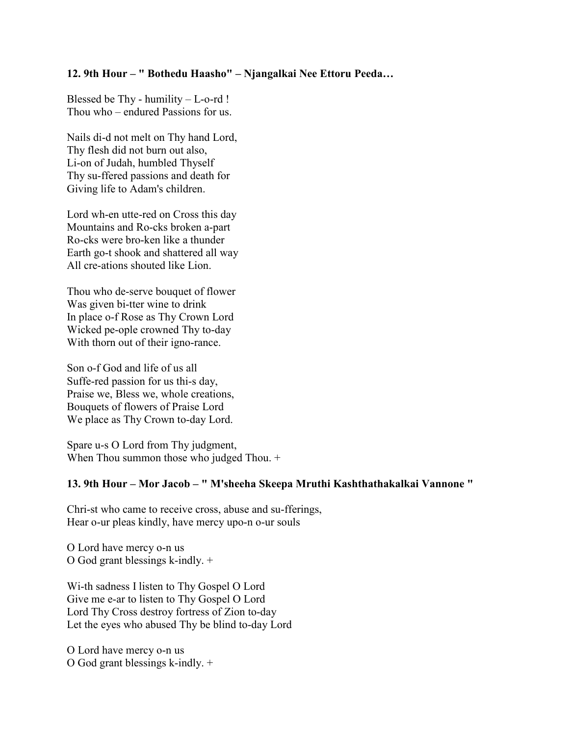## **12. 9th Hour – " Bothedu Haasho" – Njangalkai Nee Ettoru Peeda…**

Blessed be Thy - humility  $-L$ -o-rd ! Thou who – endured Passions for us.

Nails di-d not melt on Thy hand Lord, Thy flesh did not burn out also, Li-on of Judah, humbled Thyself Thy su-ffered passions and death for Giving life to Adam's children.

Lord wh-en utte-red on Cross this day Mountains and Ro-cks broken a-part Ro-cks were bro-ken like a thunder Earth go-t shook and shattered all way All cre-ations shouted like Lion.

Thou who de-serve bouquet of flower Was given bi-tter wine to drink In place o-f Rose as Thy Crown Lord Wicked pe-ople crowned Thy to-day With thorn out of their igno-rance.

Son o-f God and life of us all Suffe-red passion for us thi-s day, Praise we, Bless we, whole creations, Bouquets of flowers of Praise Lord We place as Thy Crown to-day Lord.

Spare u-s O Lord from Thy judgment, When Thou summon those who judged Thou. +

#### **13. 9th Hour – Mor Jacob – " M'sheeha Skeepa Mruthi Kashthathakalkai Vannone "**

Chri-st who came to receive cross, abuse and su-fferings, Hear o-ur pleas kindly, have mercy upo-n o-ur souls

O Lord have mercy o-n us O God grant blessings k-indly. +

Wi-th sadness I listen to Thy Gospel O Lord Give me e-ar to listen to Thy Gospel O Lord Lord Thy Cross destroy fortress of Zion to-day Let the eyes who abused Thy be blind to-day Lord

O Lord have mercy o-n us O God grant blessings k-indly. +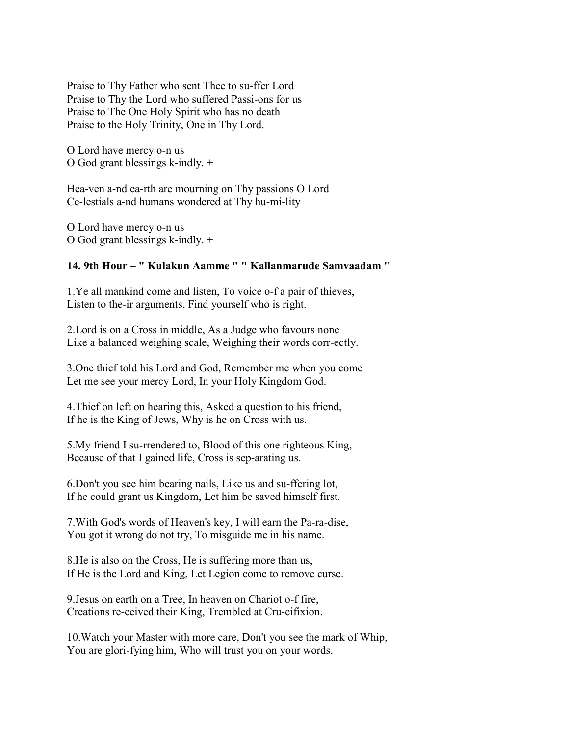Praise to Thy Father who sent Thee to su-ffer Lord Praise to Thy the Lord who suffered Passi-ons for us Praise to The One Holy Spirit who has no death Praise to the Holy Trinity, One in Thy Lord.

O Lord have mercy o-n us O God grant blessings k-indly. +

Hea-ven a-nd ea-rth are mourning on Thy passions O Lord Ce-lestials a-nd humans wondered at Thy hu-mi-lity

O Lord have mercy o-n us O God grant blessings k-indly. +

## **14. 9th Hour – " Kulakun Aamme " " Kallanmarude Samvaadam "**

1.Ye all mankind come and listen, To voice o-f a pair of thieves, Listen to the-ir arguments, Find yourself who is right.

2.Lord is on a Cross in middle, As a Judge who favours none Like a balanced weighing scale, Weighing their words corr-ectly.

3.One thief told his Lord and God, Remember me when you come Let me see your mercy Lord, In your Holy Kingdom God.

4.Thief on left on hearing this, Asked a question to his friend, If he is the King of Jews, Why is he on Cross with us.

5.My friend I su-rrendered to, Blood of this one righteous King, Because of that I gained life, Cross is sep-arating us.

6.Don't you see him bearing nails, Like us and su-ffering lot, If he could grant us Kingdom, Let him be saved himself first.

7.With God's words of Heaven's key, I will earn the Pa-ra-dise, You got it wrong do not try, To misguide me in his name.

8.He is also on the Cross, He is suffering more than us, If He is the Lord and King, Let Legion come to remove curse.

9.Jesus on earth on a Tree, In heaven on Chariot o-f fire, Creations re-ceived their King, Trembled at Cru-cifixion.

10.Watch your Master with more care, Don't you see the mark of Whip, You are glori-fying him, Who will trust you on your words.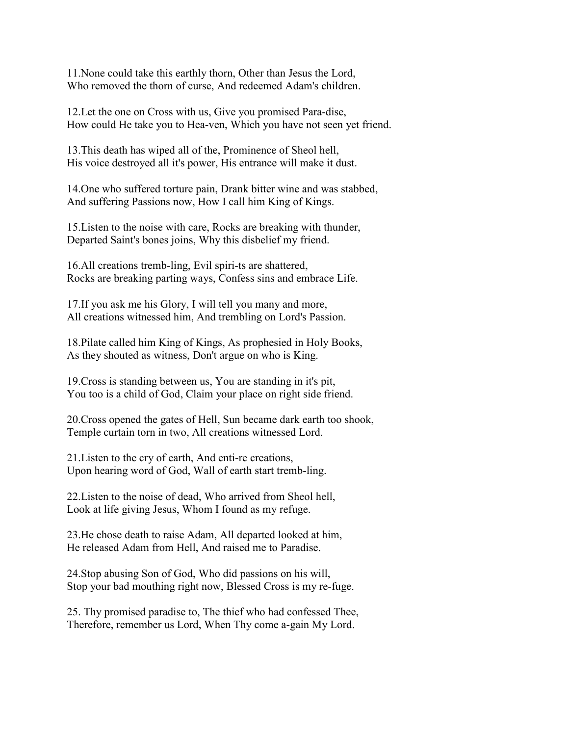11.None could take this earthly thorn, Other than Jesus the Lord, Who removed the thorn of curse, And redeemed Adam's children.

12.Let the one on Cross with us, Give you promised Para-dise, How could He take you to Hea-ven, Which you have not seen yet friend.

13.This death has wiped all of the, Prominence of Sheol hell, His voice destroyed all it's power, His entrance will make it dust.

14.One who suffered torture pain, Drank bitter wine and was stabbed, And suffering Passions now, How I call him King of Kings.

15.Listen to the noise with care, Rocks are breaking with thunder, Departed Saint's bones joins, Why this disbelief my friend.

16.All creations tremb-ling, Evil spiri-ts are shattered, Rocks are breaking parting ways, Confess sins and embrace Life.

17.If you ask me his Glory, I will tell you many and more, All creations witnessed him, And trembling on Lord's Passion.

18.Pilate called him King of Kings, As prophesied in Holy Books, As they shouted as witness, Don't argue on who is King.

19.Cross is standing between us, You are standing in it's pit, You too is a child of God, Claim your place on right side friend.

20.Cross opened the gates of Hell, Sun became dark earth too shook, Temple curtain torn in two, All creations witnessed Lord.

21.Listen to the cry of earth, And enti-re creations, Upon hearing word of God, Wall of earth start tremb-ling.

22.Listen to the noise of dead, Who arrived from Sheol hell, Look at life giving Jesus, Whom I found as my refuge.

23.He chose death to raise Adam, All departed looked at him, He released Adam from Hell, And raised me to Paradise.

24.Stop abusing Son of God, Who did passions on his will, Stop your bad mouthing right now, Blessed Cross is my re-fuge.

25. Thy promised paradise to, The thief who had confessed Thee, Therefore, remember us Lord, When Thy come a-gain My Lord.